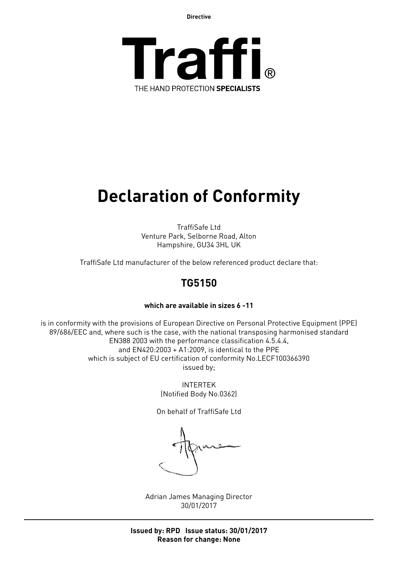**Directive**



# **Declaration of Conformity**

TraffiSafe Ltd Venture Park, Selborne Road, Alton Hampshire, GU34 3HL UK

TraffiSafe Ltd manufacturer of the below referenced product declare that:

## **TG5150**

#### **which are available in sizes 6 -11**

is in conformity with the provisions of European Directive on Personal Protective Equipment (PPE) 89/686/EEC and, where such is the case, with the national transposing harmonised standard EN388 2003 with the performance classification 4.5.4.4, and EN420:2003 + A1:2009, is identical to the PPE which is subject of EU certification of conformity No.LECF100366390 issued by;

> INTERTEK (Notified Body No.0362)

On behalf of TraffiSafe Ltd

Adrian James Managing Director 30/01/2017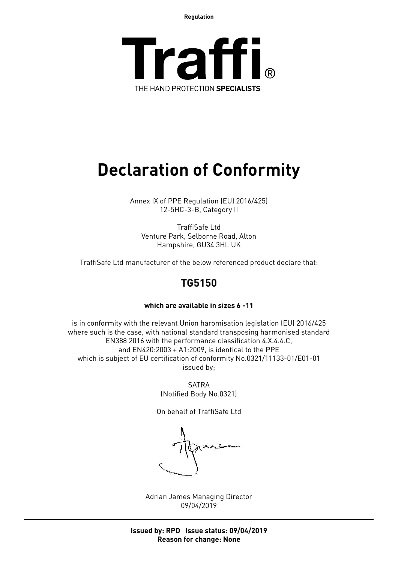**Regulation**



## **Declaration of Conformity**

Annex IX of PPE Regulation (EU) 2016/425) 12-5HC-3-B, Category II

TraffiSafe Ltd Venture Park, Selborne Road, Alton Hampshire, GU34 3HL UK

TraffiSafe Ltd manufacturer of the below referenced product declare that:

### **TG5150**

#### **which are available in sizes 6 -11**

is in conformity with the relevant Union haromisation legislation (EU) 2016/425 where such is the case, with national standard transposing harmonised standard EN388 2016 with the performance classification 4.X.4.4.C, and EN420:2003 + A1:2009, is identical to the PPE which is subject of EU certification of conformity No.0321/11133-01/E01-01 issued by;

> SATRA (Notified Body No.0321)

On behalf of TraffiSafe Ltd

Adrian James Managing Director 09/04/2019